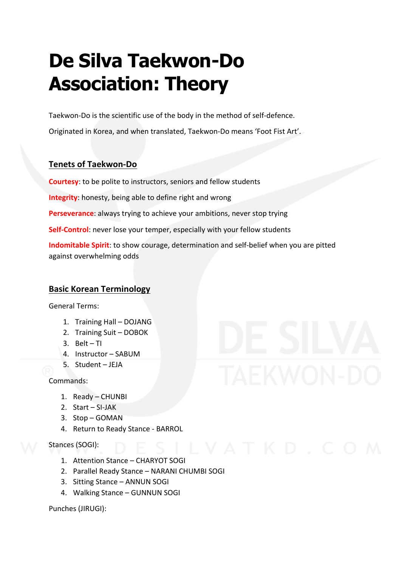### **De Silva Taekwon-Do Association: Theory**

Taekwon-Do is the scientific use of the body in the method of self-defence.

Originated in Korea, and when translated, Taekwon-Do means 'Foot Fist Art'.

### **Tenets of Taekwon-Do**

**Courtesy**: to be polite to instructors, seniors and fellow students

**Integrity:** honesty, being able to define right and wrong

**Perseverance:** always trying to achieve your ambitions, never stop trying

**Self-Control:** never lose your temper, especially with your fellow students

**Indomitable Spirit:** to show courage, determination and self-belief when you are pitted against overwhelming odds

### **Basic Korean Terminology**

General Terms: 

- 1. Training Hall DOJANG
- 2. Training Suit DOBOK
- 3. Belt $-$ Tl
- 4. Instructor SABUM
- 5. Student JEJA

Commands: 

- 1. Ready CHUNBI
- 2.  $Start SI-JAK$
- 3. Stop-GOMAN
- 4. Return to Ready Stance BARROL

Stances (SOGI):

- 1. Attention Stance CHARYOT SOGI
- 2. Parallel Ready Stance NARANI CHUMBI SOGI
- 3. Sitting Stance ANNUN SOGI
- 4. Walking Stance GUNNUN SOGI

Punches (JIRUGI):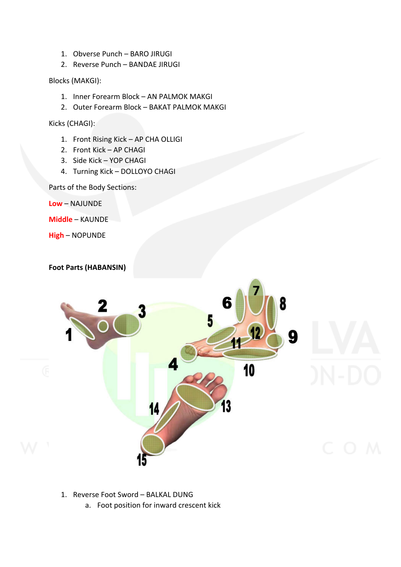- 1. Obverse Punch BARO JIRUGI
- 2. Reverse Punch BANDAE JIRUGI

Blocks (MAKGI):

- 1. Inner Forearm Block AN PALMOK MAKGI
- 2. Outer Forearm Block BAKAT PALMOK MAKGI

Kicks (CHAGI):

- 1. Front Rising Kick AP CHA OLLIGI
- 2. Front Kick AP CHAGI
- 3. Side Kick YOP CHAGI
- 4. Turning Kick DOLLOYO CHAGI

Parts of the Body Sections:

**Low** – NAJUNDE

**Middle** – KAUNDE

**High** – NOPUNDE

**Foot Parts (HABANSIN)** 



- 1. Reverse Foot Sword BALKAL DUNG
	- a. Foot position for inward crescent kick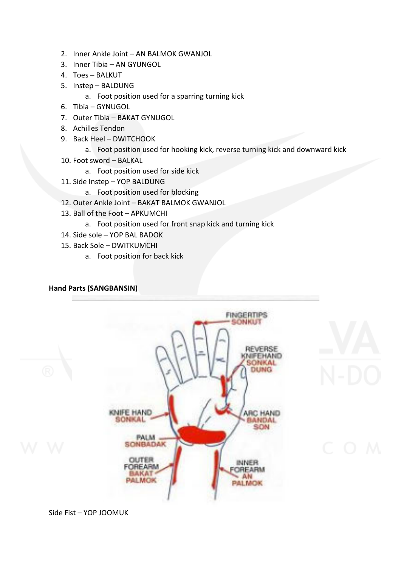- 2. Inner Ankle Joint AN BALMOK GWANJOL
- 3. Inner Tibia AN GYUNGOL
- 4. Toes BALKUT
- 5. Instep BALDUNG
	- a. Foot position used for a sparring turning kick
- 6. Tibia GYNUGOL
- 7. Outer Tibia BAKAT GYNUGOL
- 8. Achilles Tendon
- 9. Back Heel DWITCHOOK
	- a. Foot position used for hooking kick, reverse turning kick and downward kick
- 10. Foot sword BALKAL
	- a. Foot position used for side kick
- 11. Side Instep YOP BALDUNG
	- a. Foot position used for blocking
- 12. Outer Ankle Joint BAKAT BALMOK GWANJOL
- 13. Ball of the Foot APKUMCHI
	- a. Foot position used for front snap kick and turning kick
- 14. Side sole YOP BAL BADOK
- 15. Back Sole DWITKUMCHI
	- a. Foot position for back kick

### **Hand Parts (SANGBANSIN)**



Side Fist - YOP JOOMUK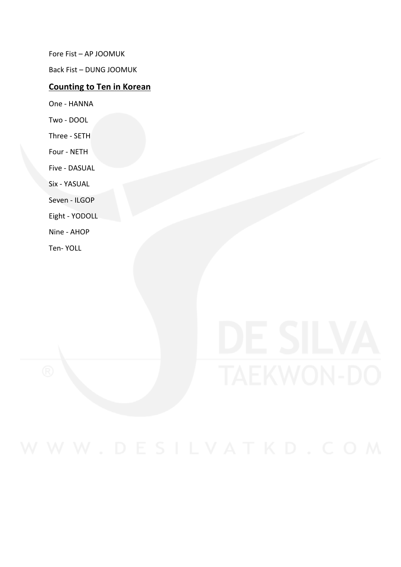Fore Fist - AP JOOMUK

Back Fist - DUNG JOOMUK

### **Counting to Ten in Korean**

One - HANNA

Two - DOOL

Three - SETH

Four - NETH

Five - DASUAL

Six - YASUAL

Seven - ILGOP

Eight - YODOLL

Nine - AHOP

Ten- YOLL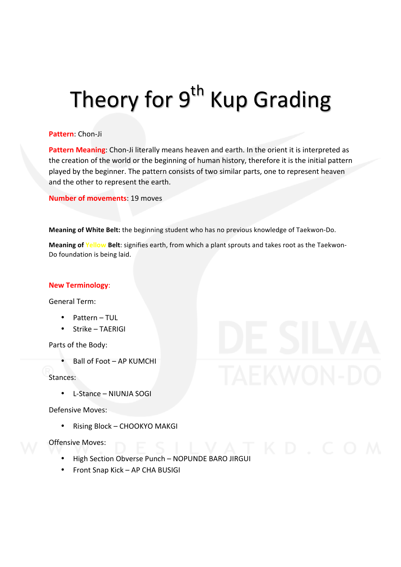### Theory for 9<sup>th</sup> Kup Grading

### **Pattern**: Chon-Ji

**Pattern Meaning:** Chon-Ji literally means heaven and earth. In the orient it is interpreted as the creation of the world or the beginning of human history, therefore it is the initial pattern played by the beginner. The pattern consists of two similar parts, one to represent heaven and the other to represent the earth.

**Number of movements: 19 moves** 

**Meaning of White Belt:** the beginning student who has no previous knowledge of Taekwon-Do.

**Meaning of Yellow Belt**: signifies earth, from which a plant sprouts and takes root as the Taekwon-Do foundation is being laid.

### **New Terminology**:

General Term:

- Pattern TUL
- Strike TAFRIGI

Parts of the Body:

Ball of Foot – AP KUMCHI

Stances: 

 $\bullet$  L-Stance – NIUNJA SOGI

Defensive Moves:

• Rising Block - CHOOKYO MAKGI

- High Section Obverse Punch NOPUNDE BARO JIRGUI
- $\bullet$  Front Snap Kick AP CHA BUSIGI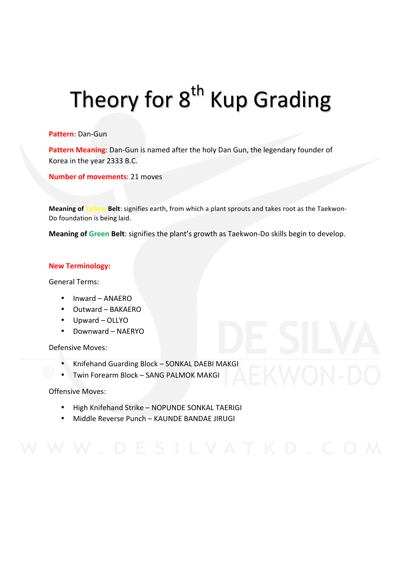## Theory for 8<sup>th</sup> Kup Grading

### **Pattern**: Dan-Gun

Pattern Meaning: Dan-Gun is named after the holy Dan Gun, the legendary founder of Korea in the year 2333 B.C.

### **Number of movements: 21 moves**

**Meaning of Yellow Belt**: signifies earth, from which a plant sprouts and takes root as the Taekwon-Do foundation is being laid.

**Meaning of Green Belt**: signifies the plant's growth as Taekwon-Do skills begin to develop.

### **New Terminology:**

General Terms: 

- Inward ANAERO
- Outward BAKAERO
- Upward OLLYO
- Downward NAERYO

Defensive Moves:

- Knifehand Guarding Block SONKAL DAEBI MAKGI
- Twin Forearm Block SANG PALMOK MAKGI

- High Knifehand Strike NOPUNDE SONKAL TAERIGI
- Middle Reverse Punch KAUNDE BANDAE IIRUGI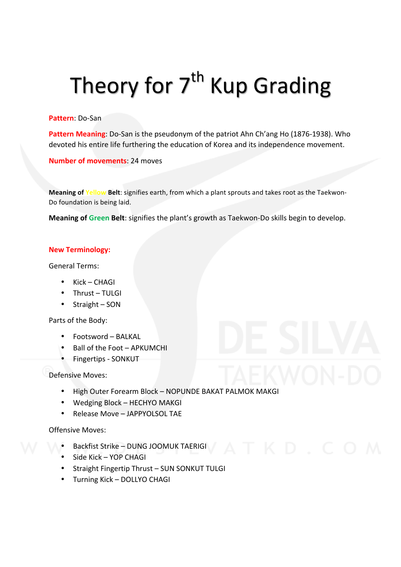## Theory for  $7<sup>th</sup>$  Kup Grading

**Pattern**: Do-San 

**Pattern Meaning**: Do-San is the pseudonym of the patriot Ahn Ch'ang Ho (1876-1938). Who devoted his entire life furthering the education of Korea and its independence movement.

**Number of movements: 24 moves** 

**Meaning of Yellow Belt**: signifies earth, from which a plant sprouts and takes root as the Taekwon-Do foundation is being laid.

**Meaning of Green Belt**: signifies the plant's growth as Taekwon-Do skills begin to develop.

### **New Terminology:**

General Terms:

- $Kick CHAGI$
- Thrust TULGI
- $\bullet$  Straight SON

Parts of the Body:

- Footsword – BALKAL
- Ball of the Foot APKUMCHI
- Fingertips SONKUT

### Defensive Moves:

- High Outer Forearm Block NOPUNDE BAKAT PALMOK MAKGI
- Wedging Block HECHYO MAKGI
- Release Move JAPPYOLSOL TAE

- Backfist Strike DUNG JOOMUK TAERIGI
- Side Kick YOP CHAGI
- Straight Fingertip Thrust SUN SONKUT TULGI
- Turning Kick DOLLYO CHAGI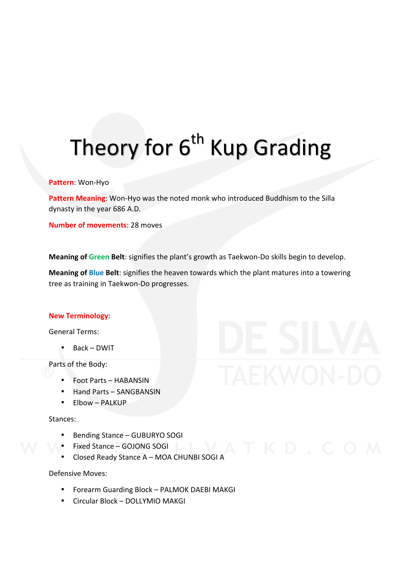# Theory for 6<sup>th</sup> Kup Grading

### **Pattern**: Won-Hyo

**Pattern Meaning:** Won-Hyo was the noted monk who introduced Buddhism to the Silla dynasty in the year 686 A.D.

**Number of movements: 28 moves** 

**Meaning of Green Belt**: signifies the plant's growth as Taekwon-Do skills begin to develop.

**Meaning of Blue Belt**: signifies the heaven towards which the plant matures into a towering tree as training in Taekwon-Do progresses.

#### **New Terminology:**

General Terms: 

Back – DWIT

Parts of the Body:

- Foot Parts HABANSIN
- Hand Parts SANGBANSIN
- $\bullet$  Flbow PALKUP

#### Stances:

- Bending Stance GUBURYO SOGI
- Fixed Stance GOJONG SOGI
- Closed Ready Stance A MOA CHUNBI SOGI A

#### Defensive Moves:

- Forearm Guarding Block PALMOK DAEBI MAKGI
- Circular Block DOLLYMIO MAKGI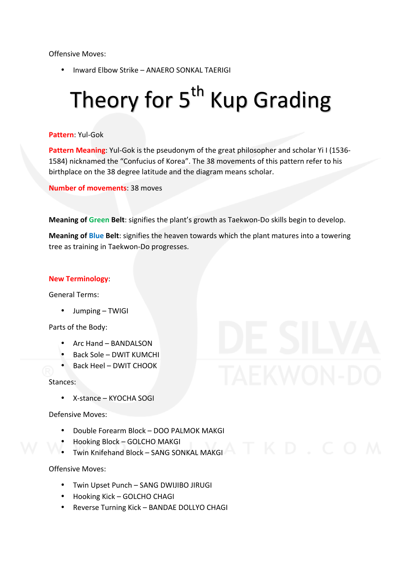Offensive Moves:

• Inward Elbow Strike – ANAERO SONKAL TAERIGI

## Theory for 5<sup>th</sup> Kup Grading

### **Pattern**: Yul-Gok

**Pattern Meaning:** Yul-Gok is the pseudonym of the great philosopher and scholar Yi I (1536-1584) nicknamed the "Confucius of Korea". The 38 movements of this pattern refer to his birthplace on the 38 degree latitude and the diagram means scholar.

**Number of movements: 38 moves** 

**Meaning of Green Belt**: signifies the plant's growth as Taekwon-Do skills begin to develop.

**Meaning of Blue Belt**: signifies the heaven towards which the plant matures into a towering tree as training in Taekwon-Do progresses.

#### **New Terminology**:

General Terms: 

• Jumping – TWIGI

Parts of the Body:

- Arc Hand BANDALSON
- Back Sole DWIT KUMCHI
- Back Heel DWIT CHOOK

#### Stances:

X-stance – KYOCHA SOGI

Defensive Moves:

- Double Forearm Block DOO PALMOK MAKGI
- Hooking Block – GOLCHO MAKGI
- Twin Knifehand Block SANG SONKAL MAKGI

- Twin Upset Punch SANG DWIJIBO JIRUGI
- Hooking Kick GOLCHO CHAGI
- Reverse Turning Kick BANDAE DOLLYO CHAGI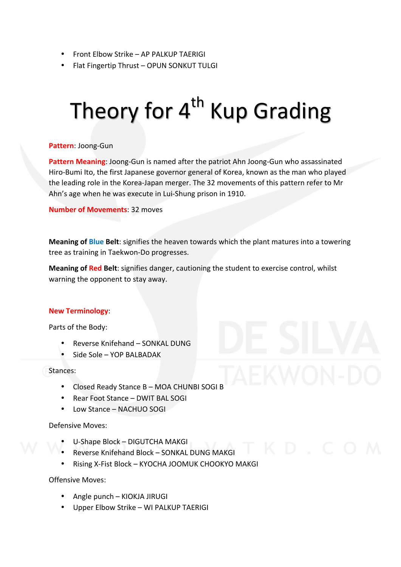- Front Elbow Strike AP PALKUP TAERIGI
- Flat Fingertip Thrust OPUN SONKUT TULGI

## Theory for  $4<sup>th</sup>$  Kup Grading

### **Pattern**: Joong-Gun

**Pattern Meaning:** Joong-Gun is named after the patriot Ahn Joong-Gun who assassinated Hiro-Bumi Ito, the first Japanese governor general of Korea, known as the man who played the leading role in the Korea-Japan merger. The 32 movements of this pattern refer to Mr Ahn's age when he was execute in Lui-Shung prison in 1910.

**Number of Movements: 32 moves** 

**Meaning of Blue Belt**: signifies the heaven towards which the plant matures into a towering tree as training in Taekwon-Do progresses.

**Meaning of Red Belt**: signifies danger, cautioning the student to exercise control, whilst warning the opponent to stay away.

### **New Terminology**:

Parts of the Body:

- Reverse Knifehand SONKAL DUNG
- Side Sole YOP BALBADAK

Stances: 

- Closed Ready Stance B MOA CHUNBI SOGI B
- Rear Foot Stance DWIT BAL SOGI
- Low Stance NACHUO SOGI

Defensive Moves: 

- U-Shape Block DIGUTCHA MAKGI
- Reverse Knifehand Block SONKAL DUNG MAKGI
- Rising X-Fist Block KYOCHA JOOMUK CHOOKYO MAKGI

- $\bullet$  Angle punch KIOKJA JIRUGI
- Upper Elbow Strike WI PALKUP TAERIGI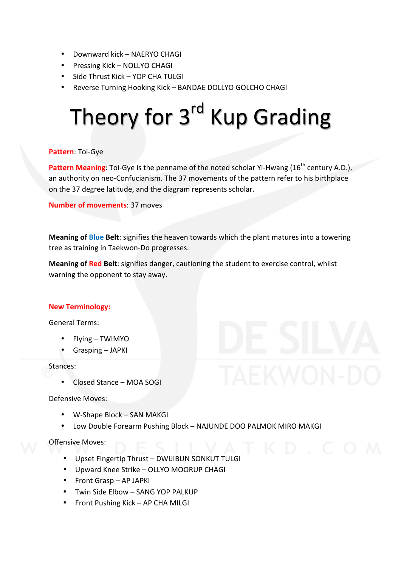- Downward kick NAERYO CHAGI
- Pressing Kick NOLLYO CHAGI
- Side Thrust Kick YOP CHA TULGI
- Reverse Turning Hooking Kick BANDAE DOLLYO GOLCHO CHAGI

## Theory for 3<sup>rd</sup> Kup Grading

### Pattern: Toi-Gye

**Pattern Meaning**: Toi-Gye is the penname of the noted scholar Yi-Hwang (16<sup>th</sup> century A.D.), an authority on neo-Confucianism. The 37 movements of the pattern refer to his birthplace on the 37 degree latitude, and the diagram represents scholar.

**Number of movements: 37 moves** 

**Meaning of Blue Belt**: signifies the heaven towards which the plant matures into a towering tree as training in Taekwon-Do progresses.

**Meaning of Red Belt**: signifies danger, cautioning the student to exercise control, whilst warning the opponent to stay away.

#### **New Terminology:**

General Terms:

- Flying TWIMYO
- Grasping JAPKI

Stances: 

• Closed Stance – MOA SOGI

Defensive Moves:

- W-Shape Block SAN MAKGI
- Low Double Forearm Pushing Block NAJUNDE DOO PALMOK MIRO MAKGI

- Upset Fingertip Thrust DWIJIBUN SONKUT TULGI
- Upward Knee Strike OLLYO MOORUP CHAGI
- Front Grasp AP JAPKI
- Twin Side Elbow SANG YOP PALKUP
- Front Pushing Kick AP CHA MILGI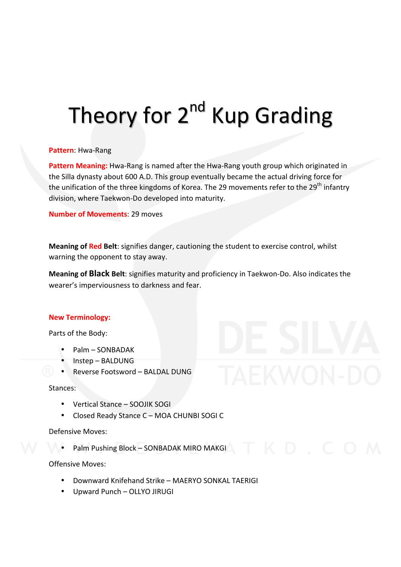### Theory for 2<sup>nd</sup> Kup Grading

### Pattern: Hwa-Rang

Pattern Meaning: Hwa-Rang is named after the Hwa-Rang youth group which originated in the Silla dynasty about 600 A.D. This group eventually became the actual driving force for the unification of the three kingdoms of Korea. The 29 movements refer to the 29<sup>th</sup> infantry division, where Taekwon-Do developed into maturity.

**Number of Movements: 29 moves** 

**Meaning of Red Belt:** signifies danger, cautioning the student to exercise control, whilst warning the opponent to stay away.

**Meaning of Black Belt:** signifies maturity and proficiency in Taekwon-Do. Also indicates the wearer's imperviousness to darkness and fear.

### **New Terminology:**

Parts of the Body:

- Palm SONBADAK
- Instep – BALDUNG
- Reverse Footsword BALDAL DUNG

Stances: 

- Vertical Stance SOOJIK SOGI
- Closed Ready Stance C MOA CHUNBI SOGI C

Defensive Moves:

Palm Pushing Block - SONBADAK MIRO MAKGI

- Downward Knifehand Strike – MAERYO SONKAL TAERIGI
- Upward Punch OLLYO JIRUGI